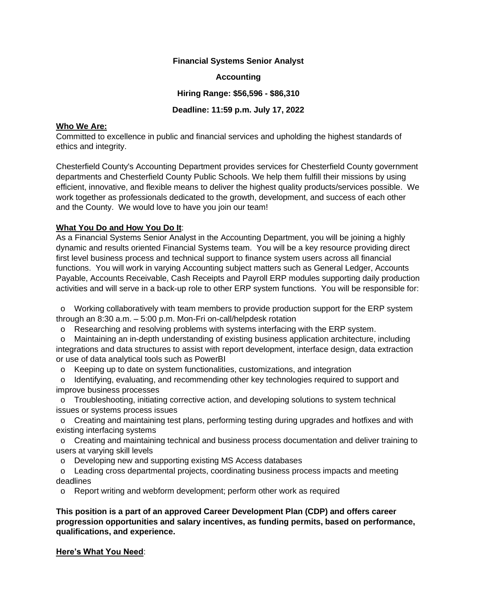#### **Financial Systems Senior Analyst**

**Accounting**

**Hiring Range: \$56,596 - \$86,310**

### **Deadline: 11:59 p.m. July 17, 2022**

#### **Who We Are:**

Committed to excellence in public and financial services and upholding the highest standards of ethics and integrity.

Chesterfield County's Accounting Department provides services for Chesterfield County government departments and Chesterfield County Public Schools. We help them fulfill their missions by using efficient, innovative, and flexible means to deliver the highest quality products/services possible. We work together as professionals dedicated to the growth, development, and success of each other and the County. We would love to have you join our team!

### **What You Do and How You Do It**:

As a Financial Systems Senior Analyst in the Accounting Department, you will be joining a highly dynamic and results oriented Financial Systems team. You will be a key resource providing direct first level business process and technical support to finance system users across all financial functions. You will work in varying Accounting subject matters such as General Ledger, Accounts Payable, Accounts Receivable, Cash Receipts and Payroll ERP modules supporting daily production activities and will serve in a back-up role to other ERP system functions. You will be responsible for:

 o Working collaboratively with team members to provide production support for the ERP system through an 8:30 a.m. – 5:00 p.m. Mon-Fri on-call/helpdesk rotation

o Researching and resolving problems with systems interfacing with the ERP system.

 o Maintaining an in-depth understanding of existing business application architecture, including integrations and data structures to assist with report development, interface design, data extraction or use of data analytical tools such as PowerBI

o Keeping up to date on system functionalities, customizations, and integration

 o Identifying, evaluating, and recommending other key technologies required to support and improve business processes

 o Troubleshooting, initiating corrective action, and developing solutions to system technical issues or systems process issues

 o Creating and maintaining test plans, performing testing during upgrades and hotfixes and with existing interfacing systems

 o Creating and maintaining technical and business process documentation and deliver training to users at varying skill levels

o Developing new and supporting existing MS Access databases

 o Leading cross departmental projects, coordinating business process impacts and meeting deadlines

o Report writing and webform development; perform other work as required

**This position is a part of an approved Career Development Plan (CDP) and offers career progression opportunities and salary incentives, as funding permits, based on performance, qualifications, and experience.**

## **Here's What You Need**: